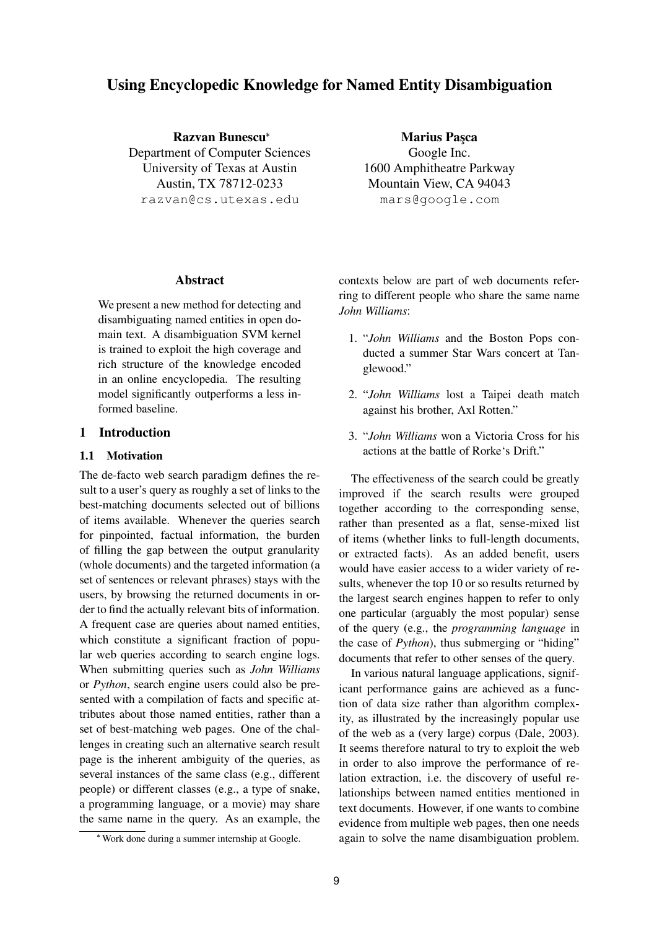# **Using Encyclopedic Knowledge for Named Entity Disambiguation**

**Razvan Bunescu** Department of Computer Sciences University of Texas at Austin Austin, TX 78712-0233 razvan@cs.utexas.edu

**Marius Pasca** Google Inc. 1600 Amphitheatre Parkway Mountain View, CA 94043 mars@google.com

#### **Abstract**

We present a new method for detecting and disambiguating named entities in open domain text. A disambiguation SVM kernel is trained to exploit the high coverage and rich structure of the knowledge encoded in an online encyclopedia. The resulting model significantly outperforms a less informed baseline.

## **1 Introduction**

#### **1.1 Motivation**

The de-facto web search paradigm defines the result to a user's query as roughly a set of links to the best-matching documents selected out of billions of items available. Whenever the queries search for pinpointed, factual information, the burden of filling the gap between the output granularity (whole documents) and the targeted information (a set of sentences or relevant phrases) stays with the users, by browsing the returned documents in order to find the actually relevant bits of information. A frequent case are queries about named entities, which constitute a significant fraction of popular web queries according to search engine logs. When submitting queries such as *John Williams* or *Python*, search engine users could also be presented with a compilation of facts and specific attributes about those named entities, rather than a set of best-matching web pages. One of the challenges in creating such an alternative search result page is the inherent ambiguity of the queries, as several instances of the same class (e.g., different people) or different classes (e.g., a type of snake, a programming language, or a movie) may share the same name in the query. As an example, the contexts below are part of web documents referring to different people who share the same name *John Williams*:

- 1. "*John Williams* and the Boston Pops conducted a summer Star Wars concert at Tanglewood."
- 2. "*John Williams* lost a Taipei death match against his brother, Axl Rotten."
- 3. "*John Williams* won a Victoria Cross for his actions at the battle of Rorke's Drift."

The effectiveness of the search could be greatly improved if the search results were grouped together according to the corresponding sense, rather than presented as a flat, sense-mixed list of items (whether links to full-length documents, or extracted facts). As an added benefit, users would have easier access to a wider variety of results, whenever the top 10 or so results returned by the largest search engines happen to refer to only one particular (arguably the most popular) sense of the query (e.g., the *programming language* in the case of *Python*), thus submerging or "hiding" documents that refer to other senses of the query.

In various natural language applications, significant performance gains are achieved as a function of data size rather than algorithm complexity, as illustrated by the increasingly popular use of the web as a (very large) corpus (Dale, 2003). It seems therefore natural to try to exploit the web in order to also improve the performance of relation extraction, i.e. the discovery of useful relationships between named entities mentioned in text documents. However, if one wants to combine evidence from multiple web pages, then one needs again to solve the name disambiguation problem.

Work done during a summer internship at Google.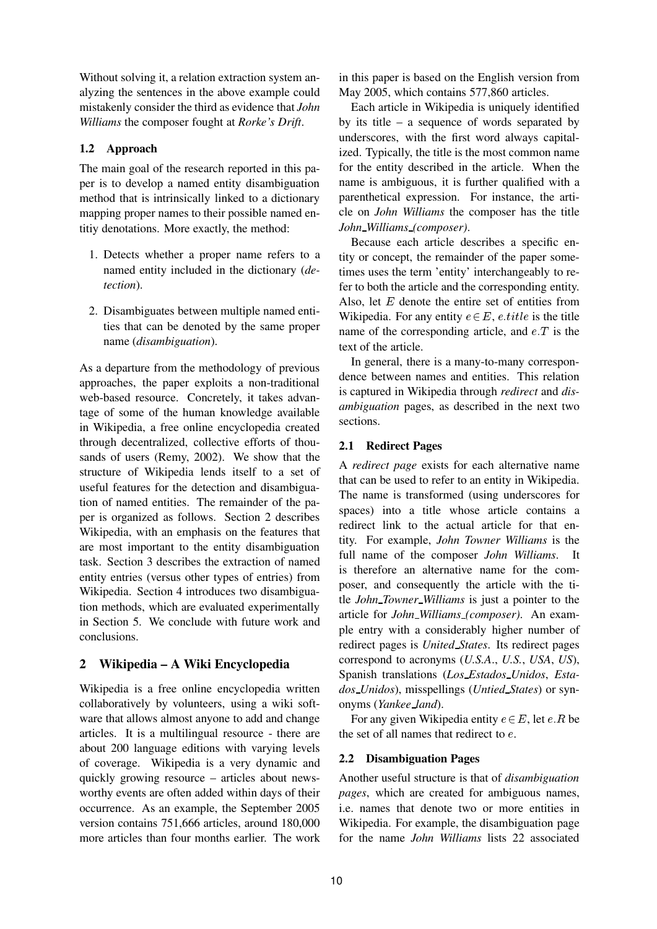Without solving it, a relation extraction system analyzing the sentences in the above example could mistakenly consider the third as evidence that *John Williams* the composer fought at *Rorke's Drift*.

## **1.2 Approach**

The main goal of the research reported in this paper is to develop a named entity disambiguation method that is intrinsically linked to a dictionary mapping proper names to their possible named entitiy denotations. More exactly, the method:

- 1. Detects whether a proper name refers to a named entity included in the dictionary (*detection*).
- 2. Disambiguates between multiple named entities that can be denoted by the same proper name (*disambiguation*).

As a departure from the methodology of previous approaches, the paper exploits a non-traditional web-based resource. Concretely, it takes advantage of some of the human knowledge available in Wikipedia, a free online encyclopedia created through decentralized, collective efforts of thousands of users (Remy, 2002). We show that the structure of Wikipedia lends itself to a set of useful features for the detection and disambiguation of named entities. The remainder of the paper is organized as follows. Section 2 describes Wikipedia, with an emphasis on the features that are most important to the entity disambiguation task. Section 3 describes the extraction of named entity entries (versus other types of entries) from Wikipedia. Section 4 introduces two disambiguation methods, which are evaluated experimentally in Section 5. We conclude with future work and conclusions.

## **2 Wikipedia – A Wiki Encyclopedia**

Wikipedia is a free online encyclopedia written collaboratively by volunteers, using a wiki software that allows almost anyone to add and change articles. It is a multilingual resource - there are about 200 language editions with varying levels of coverage. Wikipedia is a very dynamic and quickly growing resource – articles about newsworthy events are often added within days of their occurrence. As an example, the September 2005 version contains 751,666 articles, around 180,000 more articles than four months earlier. The work in this paper is based on the English version from May 2005, which contains 577,860 articles.

Each article in Wikipedia is uniquely identified by its title – a sequence of words separated by underscores, with the first word always capitalized. Typically, the title is the most common name for the entity described in the article. When the name is ambiguous, it is further qualified with a parenthetical expression. For instance, the article on *John Williams* the composer has the title *John Williams (composer)*.

Because each article describes a specific entity or concept, the remainder of the paper sometimes uses the term 'entity' interchangeably to refer to both the article and the corresponding entity. Also, let  $E$  denote the entire set of entities from Wikipedia. For any entity  $e \in E$ , e.title is the title name of the corresponding article, and  $e.T$  is the text of the article.

In general, there is a many-to-many correspondence between names and entities. This relation is captured in Wikipedia through *redirect* and *disambiguation* pages, as described in the next two sections.

## **2.1 Redirect Pages**

A *redirect page* exists for each alternative name that can be used to refer to an entity in Wikipedia. The name is transformed (using underscores for spaces) into a title whose article contains a redirect link to the actual article for that entity. For example, *John Towner Williams* is the full name of the composer *John Williams*. It is therefore an alternative name for the composer, and consequently the article with the title *John Towner Williams* is just a pointer to the article for *John Williams (composer)*. An example entry with a considerably higher number of redirect pages is *United States*. Its redirect pages correspond to acronyms (*U.S.A*., *U.S.*, *USA*, *US*), Spanish translations (*Los Estados Unidos*, *Estados Unidos*), misspellings (*Untied States*) or synonyms (*Yankee land*).

For any given Wikipedia entity  $e \in E$ , let  $e:R$  be the set of all names that redirect to <sup>e</sup>.

## **2.2 Disambiguation Pages**

Another useful structure is that of *disambiguation pages*, which are created for ambiguous names, i.e. names that denote two or more entities in Wikipedia. For example, the disambiguation page for the name *John Williams* lists 22 associated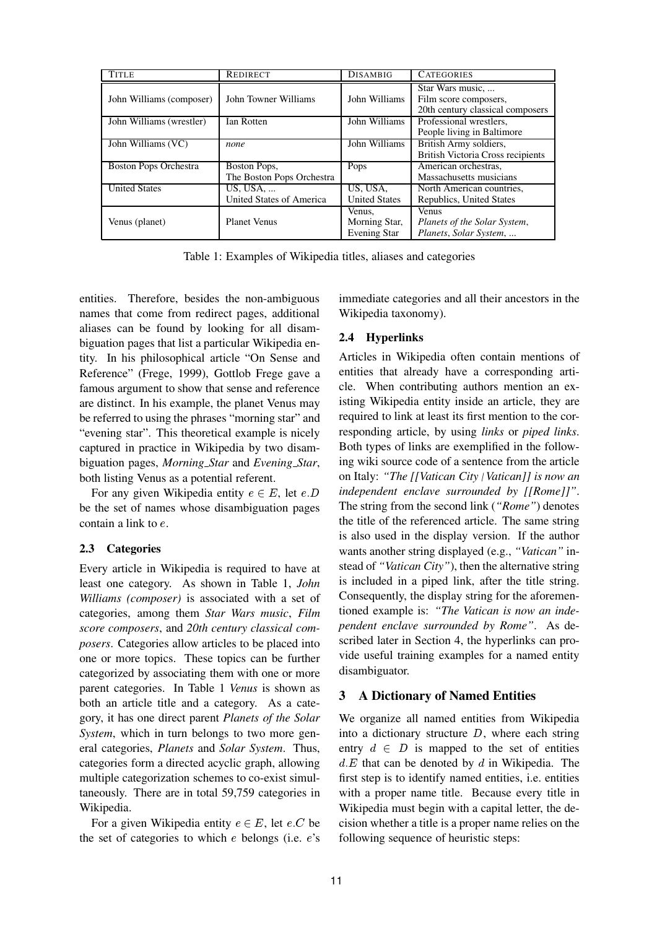| <b>TITLE</b>                 | <b>REDIRECT</b>           | <b>DISAMBIG</b>      | <b>CATEGORIES</b>                 |  |  |
|------------------------------|---------------------------|----------------------|-----------------------------------|--|--|
|                              |                           |                      | Star Wars music,                  |  |  |
| John Williams (composer)     | John Towner Williams      | John Williams        | Film score composers,             |  |  |
|                              |                           |                      | 20th century classical composers  |  |  |
| John Williams (wrestler)     | Ian Rotten                | John Williams        | Professional wrestlers,           |  |  |
|                              |                           |                      | People living in Baltimore        |  |  |
| John Williams (VC)           | none                      | John Williams        | British Army soldiers,            |  |  |
|                              |                           |                      | British Victoria Cross recipients |  |  |
| <b>Boston Pops Orchestra</b> | Boston Pops,              | Pops                 | American orchestras.              |  |  |
|                              | The Boston Pops Orchestra |                      | Massachusetts musicians           |  |  |
| <b>United States</b>         | US, USA,                  | US, USA,             | North American countries,         |  |  |
|                              | United States of America  | <b>United States</b> | Republics, United States          |  |  |
|                              |                           | Venus,               | <b>Venus</b>                      |  |  |
| Venus (planet)               | <b>Planet Venus</b>       | Morning Star,        | Planets of the Solar System,      |  |  |
|                              |                           | <b>Evening Star</b>  | Planets, Solar System,            |  |  |

Table 1: Examples of Wikipedia titles, aliases and categories

entities. Therefore, besides the non-ambiguous names that come from redirect pages, additional aliases can be found by looking for all disambiguation pages that list a particular Wikipedia entity. In his philosophical article "On Sense and Reference" (Frege, 1999), Gottlob Frege gave a famous argument to show that sense and reference are distinct. In his example, the planet Venus may be referred to using the phrases "morning star" and "evening star". This theoretical example is nicely captured in practice in Wikipedia by two disambiguation pages, *Morning Star* and *Evening Star*, both listing Venus as a potential referent.

For any given Wikipedia entity  $e \in E$ , let  $e.D$ be the set of names whose disambiguation pages contain a link to <sup>e</sup>.

#### **2.3 Categories**

Every article in Wikipedia is required to have at least one category. As shown in Table 1, *John Williams (composer)* is associated with a set of categories, among them *Star Wars music*, *Film score composers*, and *20th century classical composers*. Categories allow articles to be placed into one or more topics. These topics can be further categorized by associating them with one or more parent categories. In Table 1 *Venus* is shown as both an article title and a category. As a category, it has one direct parent *Planets of the Solar System*, which in turn belongs to two more general categories, *Planets* and *Solar System*. Thus, categories form a directed acyclic graph, allowing multiple categorization schemes to co-exist simultaneously. There are in total 59,759 categories in Wikipedia.

For a given Wikipedia entity  $e \in E$ , let  $e.C$  be the set of categories to which  $e$  belongs (i.e.  $e$ 's immediate categories and all their ancestors in the Wikipedia taxonomy).

#### **2.4 Hyperlinks**

Articles in Wikipedia often contain mentions of entities that already have a corresponding article. When contributing authors mention an existing Wikipedia entity inside an article, they are required to link at least its first mention to the corresponding article, by using *links* or *piped links*. Both types of links are exemplified in the following wiki source code of a sentence from the article on Italy: *"The [[Vatican City*|*Vatican]] is now an independent enclave surrounded by [[Rome]]"*. The string from the second link (*"Rome"*) denotes the title of the referenced article. The same string is also used in the display version. If the author wants another string displayed (e.g., *"Vatican"* instead of *"Vatican City"*), then the alternative string is included in a piped link, after the title string. Consequently, the display string for the aforementioned example is: *"The Vatican is now an independent enclave surrounded by Rome"*. As described later in Section 4, the hyperlinks can provide useful training examples for a named entity disambiguator.

#### **3 A Dictionary of Named Entities**

We organize all named entities from Wikipedia into a dictionary structure  $D$ , where each string entry  $d \in D$  is mapped to the set of entities  $d.E$  that can be denoted by  $d$  in Wikipedia. The first step is to identify named entities, i.e. entities with a proper name title. Because every title in Wikipedia must begin with a capital letter, the decision whether a title is a proper name relies on the following sequence of heuristic steps: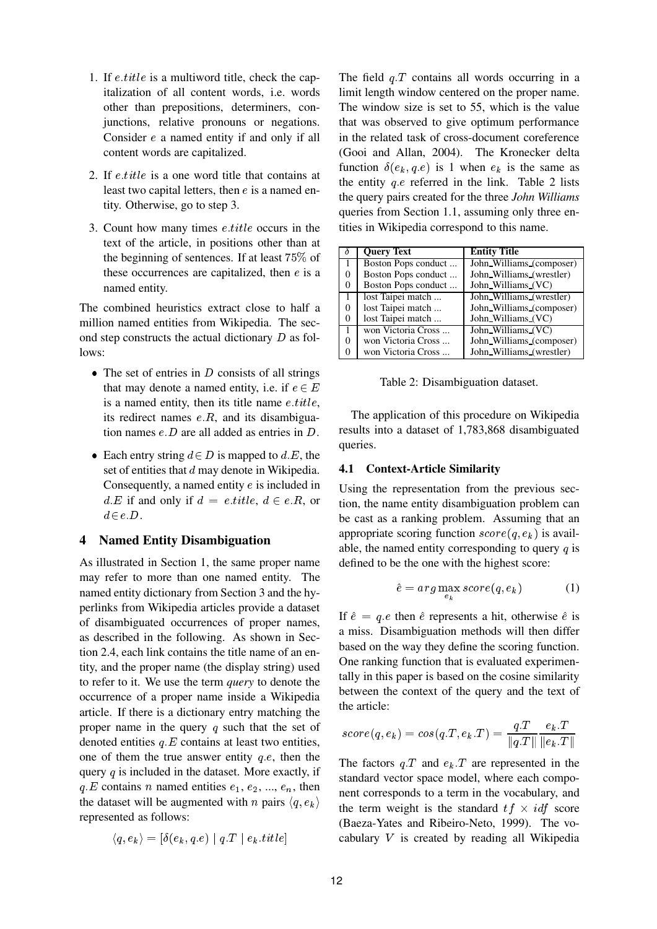- 1. If  $e.title$  is a multiword title, check the capitalization of all content words, i.e. words other than prepositions, determiners, conjunctions, relative pronouns or negations. Consider <sup>e</sup> a named entity if and only if all content words are capitalized.
- 2. If  $e.title$  is a one word title that contains at least two capital letters, then  $e$  is a named entity. Otherwise, go to step 3.
- 3. Count how many times *e.title* occurs in the text of the article, in positions other than at the beginning of sentences. If at least 75% of these occurrences are capitalized, then  $e$  is a named entity.

The combined heuristics extract close to half a million named entities from Wikipedia. The second step constructs the actual dictionary  $D$  as follows:

- $\bullet$  The set of entries in D consists of all strings that may denote a named entity, i.e. if  $e \in E$ is a named entity, then its title name  $e.title$ , its redirect names  $e.R$ , and its disambiguation names  $e.D$  are all added as entries in  $D.$
- Each entry string  $d \in D$  is mapped to d.E, the set of entities that <sup>d</sup> may denote in Wikipedia. Consequently, a named entity <sup>e</sup> is included in  $d.E$  if and only if  $d = e.title, d \in e.R$ , or  $d\in e.D.$

#### **4 Named Entity Disambiguation**

As illustrated in Section 1, the same proper name may refer to more than one named entity. The named entity dictionary from Section 3 and the hyperlinks from Wikipedia articles provide a dataset of disambiguated occurrences of proper names, as described in the following. As shown in Section 2.4, each link contains the title name of an entity, and the proper name (the display string) used to refer to it. We use the term *query* to denote the occurrence of a proper name inside a Wikipedia article. If there is a dictionary entry matching the proper name in the query  $q$  such that the set of denoted entities  $q.E$  contains at least two entities, one of them the true answer entity  $q.e.$  then the query  $q$  is included in the dataset. More exactly, if  $q.E$  contains n named entities  $e_1, e_2, ..., e_n$ , then the dataset will be augmented with *n* pairs  $\langle q, e_k \rangle$ represented as follows:

$$
\langle q, e_k \rangle = [\delta(e_k, q.e) \mid q.T \mid e_k.title]
$$

The field  $q.T$  contains all words occurring in a limit length window centered on the proper name. The window size is set to 55, which is the value that was observed to give optimum performance in the related task of cross-document coreference (Gooi and Allan, 2004). The Kronecker delta function  $\delta(e_k, q.e)$  is 1 when  $e_k$  is the same as the entity  $q.e$  referred in the link. Table 2 lists the query pairs created for the three *John Williams* queries from Section 1.1, assuming only three entities in Wikipedia correspond to this name.

|          | <b>Query Text</b>   | <b>Entity Title</b>      |
|----------|---------------------|--------------------------|
|          | Boston Pops conduct | John_Williams_(composer) |
| 0        | Boston Pops conduct | John Williams (wrestler) |
| $\theta$ | Boston Pops conduct | John_Williams_(VC)       |
|          | lost Taipei match   | John_Williams_(wrestler) |
|          | lost Taipei match   | John_Williams_(composer) |
| $\theta$ | lost Taipei match   | John_Williams_(VC)       |
|          | won Victoria Cross  | John_Williams_(VC)       |
|          | won Victoria Cross  | John_Williams_(composer) |
| 0        | won Victoria Cross  | John Williams (wrestler) |

Table 2: Disambiguation dataset.

The application of this procedure on Wikipedia results into a dataset of 1,783,868 disambiguated queries.

#### **4.1 Context-Article Similarity**

Using the representation from the previous section, the name entity disambiguation problem can be cast as a ranking problem. Assuming that an appropriate scoring function  $score(q, e_k)$  is available, the named entity corresponding to query  $q$  is defined to be the one with the highest score:

$$
\hat{e} = arg \max_{e_k} score(q, e_k)
$$
 (1)

If  $\hat{e} = q.e$  then  $\hat{e}$  represents a hit, otherwise  $\hat{e}$  is a miss. Disambiguation methods will then differ based on the way they define the scoring function. One ranking function that is evaluated experimentally in this paper is based on the cosine similarity between the context of the query and the text of the article:

$$
score(q, e_k) = cos(q.T, e_k.T) = \frac{q.T}{\|q.T\|} \frac{e_k.T}{\|e_k.T\|}
$$

The factors  $q.T$  and  $e_k.T$  are represented in the standard vector space model, where each component corresponds to a term in the vocabulary, and the term weight is the standard  $tf \times idf$  score (Baeza-Yates and Ribeiro-Neto, 1999). The vocabulary <sup>V</sup> is created by reading all Wikipedia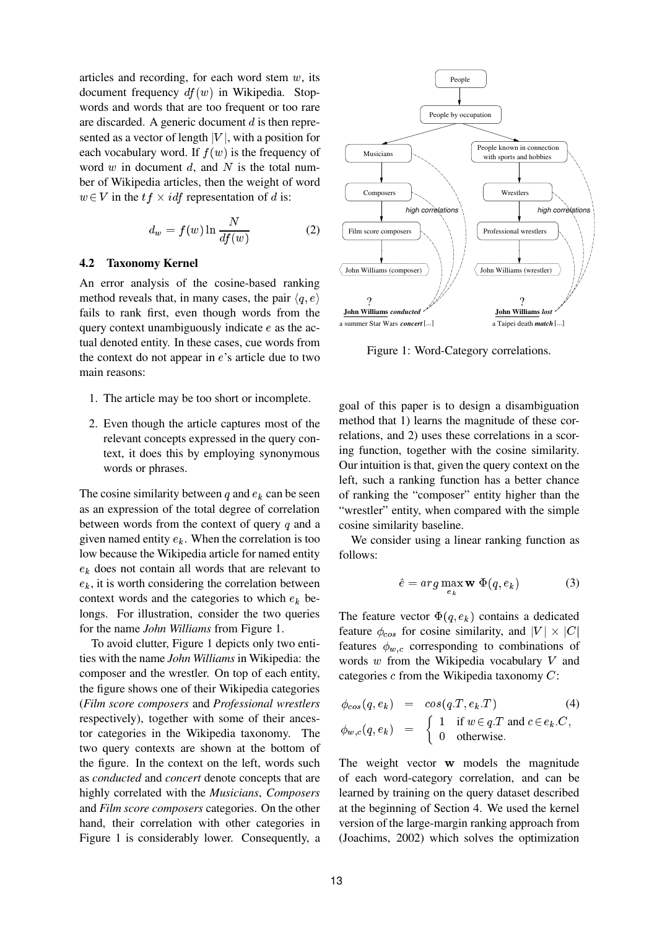articles and recording, for each word stem  $w$ , its document frequency  $df(w)$  in Wikipedia. Stopwords and words that are too frequent or too rare are discarded. A generic document  $d$  is then represented as a vector of length  $|V|$ , with a position for each vocabulary word. If  $f(w)$  is the frequency of word w in document d, and N is the total number of Wikipedia articles, then the weight of word  $w \in V$  in the  $tf \times idf$  representation of d is:

$$
d_w = f(w) \ln \frac{N}{df(w)} \tag{2}
$$

#### **4.2 Taxonomy Kernel**

An error analysis of the cosine-based ranking method reveals that, in many cases, the pair  $\langle q, e \rangle$ fails to rank first, even though words from the query context unambiguously indicate <sup>e</sup> as the actual denoted entity. In these cases, cue words from the context do not appear in  $e$ 's article due to two main reasons:

- 1. The article may be too short or incomplete.
- 2. Even though the article captures most of the relevant concepts expressed in the query context, it does this by employing synonymous words or phrases.

The cosine similarity between q and  $e_k$  can be seen as an expression of the total degree of correlation between words from the context of query  $q$  and a given named entity  $e_k$ . When the correlation is too low because the Wikipedia article for named entity  $e_k$  does not contain all words that are relevant to  $e_k$ , it is worth considering the correlation between context words and the categories to which  $e_k$  belongs. For illustration, consider the two queries for the name *John Williams* from Figure 1.

To avoid clutter, Figure 1 depicts only two entities with the name *John Williams* in Wikipedia: the composer and the wrestler. On top of each entity, the figure shows one of their Wikipedia categories (*Film score composers* and *Professional wrestlers* respectively), together with some of their ancestor categories in the Wikipedia taxonomy. The two query contexts are shown at the bottom of the figure. In the context on the left, words such as *conducted* and *concert* denote concepts that are highly correlated with the *Musicians*, *Composers* and *Film score composers* categories. On the other hand, their correlation with other categories in Figure 1 is considerably lower. Consequently, a



Figure 1: Word-Category correlations.

goal of this paper is to design a disambiguation method that 1) learns the magnitude of these correlations, and 2) uses these correlations in a scoring function, together with the cosine similarity. Our intuition is that, given the query context on the left, such a ranking function has a better chance of ranking the "composer" entity higher than the "wrestler" entity, when compared with the simple cosine similarity baseline.

We consider using a linear ranking function as follows:

 $-$ n

$$
\hat{e} = arg \max_{\alpha} \mathbf{w} \ \Phi(q, e_k) \tag{3}
$$

The feature vector  $\Phi(q, e_k)$  contains a dedicated feature  $\phi_{cos}$  for cosine similarity, and  $|V| \times |C|$ features  $\phi_{w,c}$  corresponding to combinations of words <sup>w</sup> from the Wikipedia vocabulary <sup>V</sup> and categories <sup>c</sup> from the Wikipedia taxonomy <sup>C</sup>:

$$
\begin{array}{rcl}\n\phi_{cos}(q, e_k) & = & \cos(q. T, e_k. T) \\
\phi_{w,c}(q, e_k) & = & \begin{cases}\n1 & \text{if } w \in q. T \text{ and } c \in e_k. C, \\
0 & \text{otherwise.}\n\end{cases}\n\end{array}
$$
\n
$$
(4)
$$

The weight vector <sup>w</sup> models the magnitude of each word-category correlation, and can be learned by training on the query dataset described at the beginning of Section 4. We used the kernel version of the large-margin ranking approach from (Joachims, 2002) which solves the optimization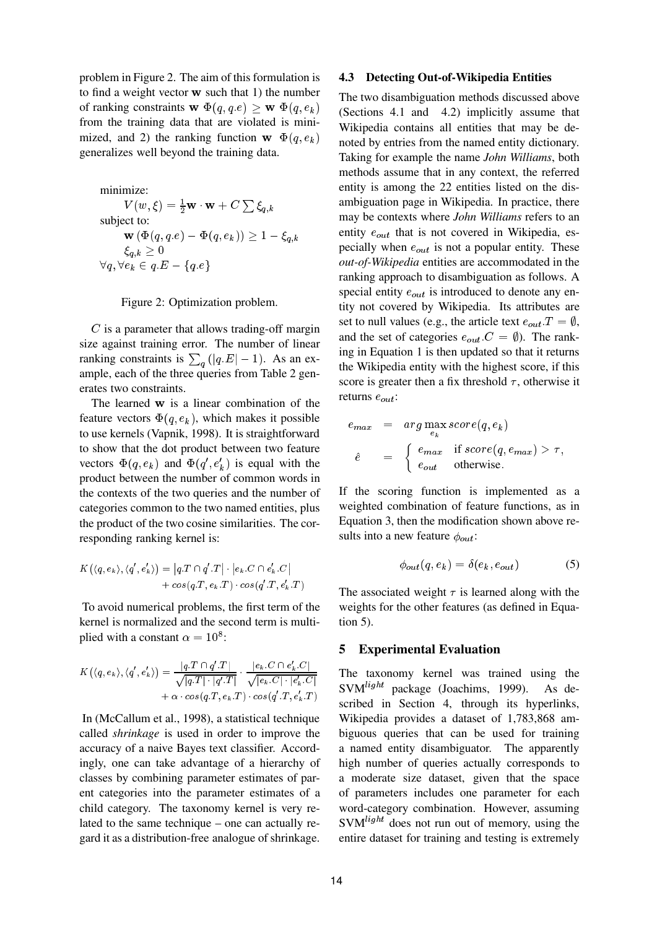problem in Figure 2. The aim of this formulation is to find a weight vector <sup>w</sup> such that 1) the number of ranking constraints  $\mathbf{w} \ \Phi(q, q.e) \geq \mathbf{w} \ \Phi(q, e_k)$ from the training data that are violated is minimized, and 2) the ranking function  $\mathbf{w} \Phi(q, e_k)$ generalizes well beyond the training data.

minimize:  
\n
$$
V(w, \xi) = \frac{1}{2} \mathbf{w} \cdot \mathbf{w} + C \sum \xi_{q,k}
$$
\nsubject to:  
\n
$$
\mathbf{w} (\Phi(q, q.e) - \Phi(q, e_k)) \ge 1 - \xi_{q,k}
$$
\n
$$
\xi_{q,k} \ge 0
$$
\n
$$
\forall q, \forall e_k \in q.E - \{q.e\}
$$

#### Figure 2: Optimization problem.

 $C$  is a parameter that allows trading-off margin size against training error. The number of linear ranking constraints is  $\sum_{q} (|q.E| - 1)$ . As an example, each of the three queries from Table 2 generates two constraints.

The learned <sup>w</sup> is a linear combination of the feature vectors  $\Phi(q, e_k)$ , which makes it possible to use kernels (Vapnik, 1998). It is straightforward to show that the dot product between two feature vectors  $\Phi(q, e_k)$  and  $\Phi(q', e'_k)$  is equal with the product between the number of common words in the contexts of the two queries and the number of categories common to the two named entities, plus the product of the two cosine similarities. The corresponding ranking kernel is:

$$
K(\langle q, e_k \rangle, \langle q', e'_k \rangle) = |q \cdot T \cap q' \cdot T| \cdot |e_k \cdot C \cap e'_k \cdot C|
$$
  
+  $cos(q \cdot T, e_k \cdot T) \cdot cos(q' \cdot T, e'_k \cdot T)$ 

To avoid numerical problems, the first term of the kernel is normalized and the second term is multiplied with a constant  $\alpha = 10^8$ :

$$
K(\langle q, e_k \rangle, \langle q', e'_k \rangle) = \frac{|q.T \cap q'.T|}{\sqrt{|q.T| \cdot |q'.T|}} \cdot \frac{|e_k.C \cap e'_k.C|}{\sqrt{|e_k.C| \cdot |e'_k.C|}} + \alpha \cdot \cos(q.T, e_k.T) \cdot \cos(q'.T, e'_k.T)
$$

In (McCallum et al., 1998), a statistical technique called *shrinkage* is used in order to improve the accuracy of a naive Bayes text classifier. Accordingly, one can take advantage of a hierarchy of classes by combining parameter estimates of parent categories into the parameter estimates of a child category. The taxonomy kernel is very related to the same technique – one can actually regard it as a distribution-free analogue of shrinkage.

### **4.3 Detecting Out-of-Wikipedia Entities**

The two disambiguation methods discussed above (Sections 4.1 and 4.2) implicitly assume that Wikipedia contains all entities that may be denoted by entries from the named entity dictionary. Taking for example the name *John Williams*, both methods assume that in any context, the referred entity is among the 22 entities listed on the disambiguation page in Wikipedia. In practice, there may be contexts where *John Williams* refers to an entity  $e_{out}$  that is not covered in Wikipedia, especially when  $e_{out}$  is not a popular entity. These *out-of-Wikipedia* entities are accommodated in the ranking approach to disambiguation as follows. A special entity  $e_{out}$  is introduced to denote any entity not covered by Wikipedia. Its attributes are set to null values (e.g., the article text  $e_{out}.T = \emptyset$ , and the set of categories  $e_{out}.C = \emptyset$ ). The ranking in Equation 1 is then updated so that it returns the Wikipedia entity with the highest score, if this score is greater then a fix threshold  $\tau$ , otherwise it returns  $e_{out}$ :

$$
e_{max} = arg \max_{e_k} score(q, e_k)
$$
  
\n
$$
\hat{e} = \begin{cases} e_{max} & \text{if } score(q, e_{max}) > \tau, \\ e_{out} & \text{otherwise.} \end{cases}
$$

If the scoring function is implemented as a weighted combination of feature functions, as in Equation 3, then the modification shown above results into a new feature  $\phi_{out}$ :

$$
\phi_{out}(q, e_k) = \delta(e_k, e_{out}) \tag{5}
$$

The associated weight  $\tau$  is learned along with the weights for the other features (as defined in Equation 5).

#### **5 Experimental Evaluation**

The taxonomy kernel was trained using the SVM<sup>light</sup> package (Joachims, 1999). As described in Section 4, through its hyperlinks, Wikipedia provides a dataset of 1,783,868 ambiguous queries that can be used for training a named entity disambiguator. The apparently high number of queries actually corresponds to a moderate size dataset, given that the space of parameters includes one parameter for each word-category combination. However, assuming  $SVM<sup>light</sup>$  does not run out of memory, using the entire dataset for training and testing is extremely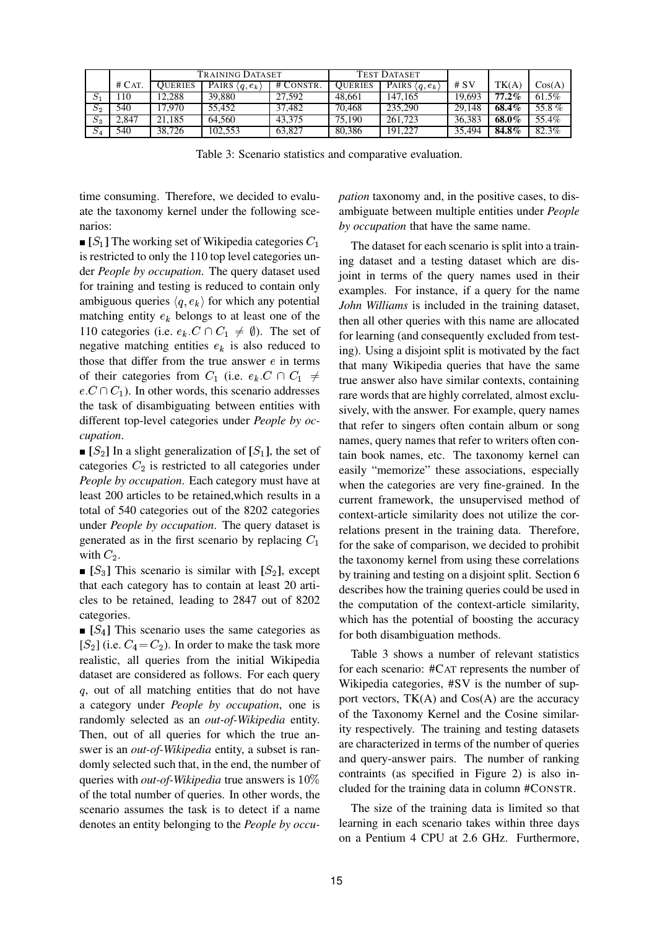|                  |          | TRAINING DATASET |                  |           | <b>TEST DATASET</b> |                  |        |          |        |
|------------------|----------|------------------|------------------|-----------|---------------------|------------------|--------|----------|--------|
|                  | $#$ CAT. | OUERIES          | PAIRS $(q, e_k)$ | # CONSTR. | <b>OUERIES</b>      | PAIRS $(q, e_k)$ | # $SV$ | TK(A)    | Cos(A) |
|                  | 10       | 12.288           | 39.880           | 27.592    | 48.661              | 147.165          | 19.693 | $77.2\%$ | 61.5%  |
| $\overline{S_2}$ | 540      | 17.970           | 55.452           | 37.482    | 70.468              | 235,290          | 29.148 | 68.4%    | 55.8%  |
| $S_3$            | 2.847    | 21.185           | 64.560           | 43,375    | 75,190              | 261,723          | 36.383 | 68.0%    | 55.4%  |
| S <sub>4</sub>   | 540      | 38.726           | 102.553          | 63.827    | 80.386              | 191.227          | 35.494 | 84.8%    | 82.3%  |

Table 3: Scenario statistics and comparative evaluation.

time consuming. Therefore, we decided to evaluate the taxonomy kernel under the following scenarios:

 $\blacksquare$  [S<sub>1</sub>] The working set of Wikipedia categories  $C_1$ is restricted to only the 110 top level categories under *People by occupation*. The query dataset used for training and testing is reduced to contain only ambiguous queries  $\langle q, e_k \rangle$  for which any potential matching entity  $e_k$  belongs to at least one of the 110 categories (i.e.  $e_k.C \cap C_1 \neq \emptyset$ ). The set of negative matching entities  $e_k$  is also reduced to those that differ from the true answer  $e$  in terms of their categories from  $C_1$  (i.e.  $e_k.C \cap C_1 \neq$  $e.C \cap C_1$ ). In other words, this scenario addresses the task of disambiguating between entities with different top-level categories under *People by occupation*.

 $\bullet$  [ $S_2$ ] In a slight generalization of [ $S_1$ ], the set of categories  $C_2$  is restricted to all categories under *People by occupation*. Each category must have at least 200 articles to be retained,which results in a total of 540 categories out of the 8202 categories under *People by occupation*. The query dataset is generated as in the first scenario by replacing  $C_1$ with  $C_2$ .

 $\blacksquare$  [S<sub>3</sub>] This scenario is similar with [S<sub>2</sub>], except that each category has to contain at least 20 articles to be retained, leading to 2847 out of 8202 categories.

 $[**S**<sub>4</sub>]$  This scenario uses the same categories as  $[S_2]$  (i.e.  $C_4 = C_2$ ). In order to make the task more realistic, all queries from the initial Wikipedia dataset are considered as follows. For each query <sup>q</sup>, out of all matching entities that do not have a category under *People by occupation*, one is randomly selected as an *out-of-Wikipedia* entity. Then, out of all queries for which the true answer is an *out-of-Wikipedia* entity, a subset is randomly selected such that, in the end, the number of queries with *out-of-Wikipedia* true answers is 10% of the total number of queries. In other words, the scenario assumes the task is to detect if a name denotes an entity belonging to the *People by occu-* *pation* taxonomy and, in the positive cases, to disambiguate between multiple entities under *People by occupation* that have the same name.

The dataset for each scenario is split into a training dataset and a testing dataset which are disjoint in terms of the query names used in their examples. For instance, if a query for the name *John Williams* is included in the training dataset, then all other queries with this name are allocated for learning (and consequently excluded from testing). Using a disjoint split is motivated by the fact that many Wikipedia queries that have the same true answer also have similar contexts, containing rare words that are highly correlated, almost exclusively, with the answer. For example, query names that refer to singers often contain album or song names, query names that refer to writers often contain book names, etc. The taxonomy kernel can easily "memorize" these associations, especially when the categories are very fine-grained. In the current framework, the unsupervised method of context-article similarity does not utilize the correlations present in the training data. Therefore, for the sake of comparison, we decided to prohibit the taxonomy kernel from using these correlations by training and testing on a disjoint split. Section 6 describes how the training queries could be used in the computation of the context-article similarity, which has the potential of boosting the accuracy for both disambiguation methods.

Table 3 shows a number of relevant statistics for each scenario: #CAT represents the number of Wikipedia categories, #SV is the number of support vectors,  $TK(A)$  and  $Cos(A)$  are the accuracy of the Taxonomy Kernel and the Cosine similarity respectively. The training and testing datasets are characterized in terms of the number of queries and query-answer pairs. The number of ranking contraints (as specified in Figure 2) is also included for the training data in column #CONSTR.

The size of the training data is limited so that learning in each scenario takes within three days on a Pentium 4 CPU at 2.6 GHz. Furthermore,